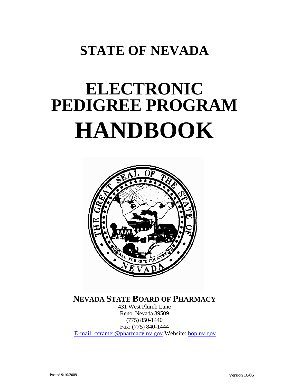# **STATE OF NEVADA**

# **ELECTRONIC PEDIGREE PROGRAM HANDBOOK**



**NEVADA STATE BOARD OF PHARMACY**

431 West Plumb Lane Reno, Nevada 89509 (775) 850-1440 Fax: (775) 840-1444 E-mail: ccramer@pharmacy.nv.gov Website: bop.nv.gov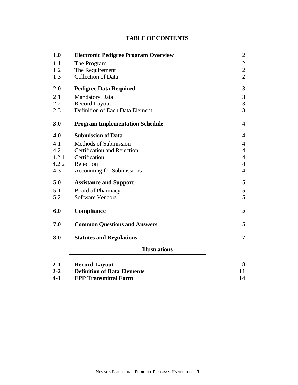#### <sup>U</sup>**TABLE OF CONTENTS**

| 1.0   | <b>Electronic Pedigree Program Overview</b> | $\overline{c}$ |
|-------|---------------------------------------------|----------------|
| 1.1   | The Program                                 | $\overline{c}$ |
| 1.2   | The Requirement                             |                |
| 1.3   | <b>Collection of Data</b>                   |                |
| 2.0   | <b>Pedigree Data Required</b>               | 3              |
| 2.1   | <b>Mandatory Data</b>                       | $\mathfrak{Z}$ |
| 2.2   | <b>Record Layout</b>                        | $\overline{3}$ |
| 2.3   | Definition of Each Data Element             | $\overline{3}$ |
| 3.0   | <b>Program Implementation Schedule</b>      | $\overline{4}$ |
| 4.0   | <b>Submission of Data</b>                   | $\overline{4}$ |
| 4.1   | <b>Methods of Submission</b>                | $\overline{4}$ |
| 4.2   | Certification and Rejection                 |                |
| 4.2.1 | Certification<br>$\overline{4}$             |                |
| 4.2.2 | Rejection                                   | $\overline{4}$ |
| 4.3   | <b>Accounting for Submissions</b>           | $\overline{4}$ |
| 5.0   | <b>Assistance and Support</b>               | 5              |
| 5.1   | <b>Board of Pharmacy</b>                    | $\mathfrak{S}$ |
| 5.2   | <b>Software Vendors</b>                     | 5              |
| 6.0   | Compliance                                  | 5              |
| 7.0   | <b>Common Questions and Answers</b>         | 5              |
| 8.0   | <b>Statutes and Regulations</b>             | $\overline{7}$ |
|       | <b>Illustrations</b>                        |                |
| $2-1$ | Record Lavout                               | $\mathbf{R}$   |

| $2 - 1$ | <b>Record Layout</b>               |  |
|---------|------------------------------------|--|
| $2 - 2$ | <b>Definition of Data Elements</b> |  |
| $4 - 1$ | <b>EPP Transmittal Form</b>        |  |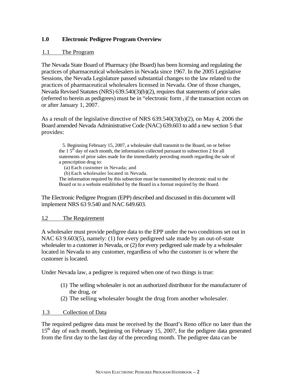#### **1.0 Electronic Pedigree Program Overview**

#### 1.1 The Program

The Nevada State Board of Pharmacy (the Board) has been licensing and regulating the practices of pharmaceutical wholesalers in Nevada since 1967. In the 2005 Legislative Sessions, the Nevada Legislature passed substantial changes to the law related to the practices of pharmaceutical wholesalers licensed in Nevada. One of those changes, Nevada Revised Statutes (NRS) 639.540(3)(b)(2), requires that statements of prior sales (referred to herein as pedigrees) must be in "electronic form , if the transaction occurs on or after January 1, 2007.

As a result of the legislative directive of NRS 639.540(3)(b)(2), on May 4, 2006 the Board amended Nevada Administrative Code (NAC) 639.603 to add a new section 5 that provides:

5. Beginning February 15, 2007, a wholesaler shall transmit to the Board, on or before the  $1.5<sup>th</sup>$  day of each month, the information collected pursuant to subsection 2 for all statements of prior sales made for the immediately preceding month regarding the sale of a prescription drug to:

(a) Each customer in Nevada; and

(b) Each wholesaler located in Nevada.

The information required by this subsection must be transmitted by electronic mail to the Board or to a website established by the Board in a format required by the Board.

The Electronic Pedigree Program (EPP) described and discussed in this document will implement NRS 63 9.540 and NAC 649.603.

#### 1.2 The Requirement

A wholesaler must provide pedigree data to the EPP under the two conditions set out in NAC 63 9.603(5), namely: (1) for every pedigreed sale made by an out-of-state wholesaler to a customer in Nevada, or (2) for every pedigreed sale made by a wholesaler located in Nevada to any customer, regardless of who the customer is or where the customer is located.

Under Nevada law, a pedigree is required when one of two things is true:

- (1) The selling wholesaler is not an authorized distributor for the manufacturer of the drug, or
- (2) The selling wholesaler bought the drug from another wholesaler.

#### 1.3 Collection of Data

The required pedigree data must be received by the Board's Reno office no later than the  $15<sup>th</sup>$  day of each month, beginning on February 15, 2007, for the pedigree data generated from the first day to the last day of the preceding month. The pedigree data can be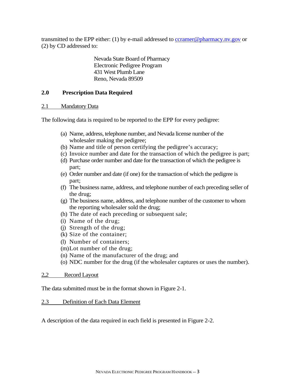transmitted to the EPP either: (1) by e-mail addressed to ccramer@pharmacy.nv.gov or (2) by CD addressed to:

> Nevada State Board of Pharmacy Electronic Pedigree Program 431 West Plumb Lane Reno, Nevada 89509

#### **2.0 Prescription Data Required**

#### 2.1 Mandatory Data

The following data is required to be reported to the EPP for every pedigree:

- (a) Name, address, telephone number, and Nevada license number of the wholesaler making the pedigree;
- (b) Name and title of person certifying the pedigree's accuracy;
- (c) Invoice number and date for the transaction of which the pedigree is part;
- (d) Purchase order number and date for the transaction of which the pedigree is part;
- (e) Order number and date (if one) for the transaction of which the pedigree is part;
- (f) The business name, address, and telephone number of each preceding seller of the drug;
- (g) The business name, address, and telephone number of the customer to whom the reporting wholesaler sold the drug;
- (h) The date of each preceding or subsequent sale;
- (i) Name of the drug;
- (j) Strength of the drug;
- (k) Size of the container;
- (l) Number of containers;
- (m)Lot number of the drug;
- (n) Name of the manufacturer of the drug; and
- (o) NDC number for the drug (if the wholesaler captures or uses the number).

#### 2.2 Record Layout

The data submitted must be in the format shown in Figure 2-1.

#### 2.3 Definition of Each Data Element

A description of the data required in each field is presented in Figure 2-2.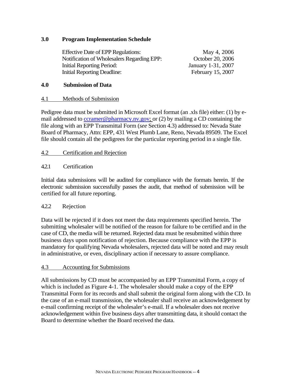#### **3.0 Program Implementation Schedule**

| <b>Effective Date of EPP Regulations:</b>  | May 4, 2006        |
|--------------------------------------------|--------------------|
| Notification of Wholesalers Regarding EPP: | October 20, 2006   |
| Initial Reporting Period:                  | January 1-31, 2007 |
| <b>Initial Reporting Deadline:</b>         | February 15, 2007  |

#### **4.0 Submission of Data**

#### 4.1 Methods of Submission

Pedigree data must be submitted in Microsoft Excel format (an .xls file) either: (1) by email addressed to  $ccramer@pharmacy.nv.gov$ ; or (2) by mailing a CD containing the file along with an EPP Transmittal Form (*see* Section 4.3) addressed to: Nevada State Board of Pharmacy, Attn: EPP, 431 West Plumb Lane, Reno, Nevada 89509. The Excel file should contain all the pedigrees for the particular reporting period in a single file.

#### <sup>U</sup>4.2 Certification and Rejection

#### 4.2.1 Certification

Initial data submissions will be audited for compliance with the formats herein. If the electronic submission successfully passes the audit, that method of submission will be certified for all future reporting.

#### 4.2.2 Rejection

Data will be rejected if it does not meet the data requirements specified herein. The submitting wholesaler will be notified of the reason for failure to be certified and in the case of CD, the media will be returned. Rejected data must be resubmitted within three business days upon notification of rejection. Because compliance with the EPP is mandatory for qualifying Nevada wholesalers, rejected data will be noted and may result in administrative, or even, disciplinary action if necessary to assure compliance.

#### 4.3 Accounting for Submissions

All submissions by CD must be accompanied by an EPP Transmittal Form, a copy of which is included as Figure 4-1. The wholesaler should make a copy of the EPP Transmittal Form for its records and shall submit the original form along with the CD. In the case of an e-mail transmission, the wholesaler shall receive an acknowledgement by e-mail confirming receipt of the wholesaler's e-mail. If a wholesaler does not receive acknowledgement within five business days after transmitting data, it should contact the Board to determine whether the Board received the data.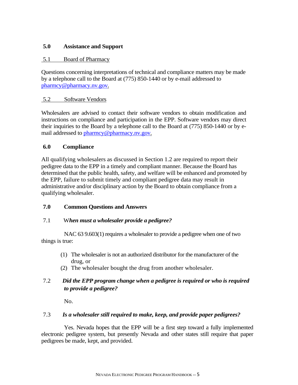#### **5.0 Assistance and Support**

#### 5.1 Board of Pharmacy

Questions concerning interpretations of technical and compliance matters may be made by a telephone call to the Board at (775) 850-1440 or by e-mail addressed to pharmcy@pharmacy.nv.gov.

#### 5.2 Software Vendors

Wholesalers are advised to contact their software vendors to obtain modification and instructions on compliance and participation in the EPP. Software vendors may direct their inquiries to the Board by a telephone call to the Board at (775) 850-1440 or by email addressed to pharmcy@pharmacy.nv.gov.

#### **6.0 Compliance**

All qualifying wholesalers as discussed in Section 1.2 are required to report their pedigree data to the EPP in a timely and compliant manner. Because the Board has determined that the public health, safety, and welfare will be enhanced and promoted by the EPP, failure to submit timely and compliant pedigree data may result in administrative and/or disciplinary action by the Board to obtain compliance from a qualifying wholesaler.

#### **7.0 Common Questions and Answers**

#### 7.1 W*hen must a wholesaler provide a pedigree?*

NAC 63 9.603(1) requires a wholesaler to provide a pedigree when one of two things is true:

- (1) The wholesaler is not an authorized distributor for the manufacturer of the drug, or
- (2) The wholesaler bought the drug from another wholesaler.

#### 7.2 *Did the EPP program change when a pedigree is required or who is required to provide a pedigree?*

No.

#### 7.3 *Is a wholesaler still required to make, keep, and provide paper pedigrees?*

Yes. Nevada hopes that the EPP will be a first step toward a fully implemented electronic pedigree system, but presently Nevada and other states still require that paper pedigrees be made, kept, and provided.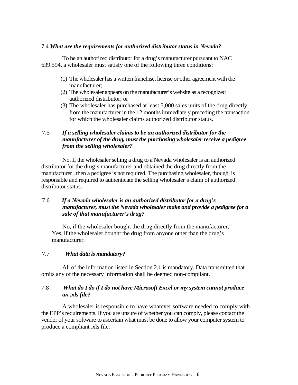#### 7.4 *What are the requirements for authorized distributor status in Nevada?*

To be an authorized distributor for a drug's manufacturer pursuant to NAC 639.594, a wholesaler must satisfy one of the following three conditions:

- (1) The wholesaler has a written franchise, license or other agreement with the manufacturer;
- (2) The wholesaler appears on the manufacturer's website as a recognized authorized distributor; or
- (3) The wholesaler has purchased at least 5,000 sales units of the drug directly from the manufacturer in the 12 months immediately preceding the transaction for which the wholesaler claims authorized distributor status.

#### 7.5 *If a selling wholesaler claims to be an authorized distributor for the manufacturer of the drug, must the purchasing wholesaler receive a pedigree from the selling wholesaler?*

No. If the wholesaler selling a drug to a Nevada wholesaler is an authorized distributor for the drug's manufacturer and obtained the drug directly from the manufacturer , then a pedigree is not required. The purchasing wholesaler, though, is responsible and required to authenticate the selling wholesaler's claim of authorized distributor status.

#### 7.6 *If a Nevada wholesaler is an authorized distributor for a drug's manufacturer, must the Nevada wholesaler make and provide a pedigree for a sale of that manufacturer's drug?*

No, if the wholesaler bought the drug directly from the manufacturer; Yes, if the wholesaler bought the drug from anyone other than the drug's manufacturer.

#### 7.7 *What data is mandatory?*

All of the information listed in Section 2.1 is mandatory. Data transmitted that omits any of the necessary information shall be deemed non-compliant.

#### 7.8 *What do I do if I do not have Microsoft Excel or my system cannot produce an .xls file?*

A wholesaler is responsible to have whatever software needed to comply with the EPP's requirements. If you are unsure of whether you can comply, please contact the vendor of your software to ascertain what must be done to allow your computer system to produce a compliant .xls file.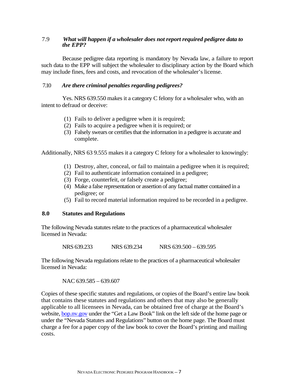#### 7.9 *What will happen if a wholesaler does not report required pedigree data to the EPP?*

Because pedigree data reporting is mandatory by Nevada law, a failure to report such data to the EPP will subject the wholesaler to disciplinary action by the Board which may include fines, fees and costs, and revocation of the wholesaler's license.

#### 7.10 *Are there criminal penalties regarding pedigrees?*

Yes. NRS 639.550 makes it a category C felony for a wholesaler who, with an intent to defraud or deceive:

- (1) Fails to deliver a pedigree when it is required;
- (2) Fails to acquire a pedigree when it is required; or
- (3) Falsely swears or certifies that the information in a pedigree is accurate and complete.

Additionally, NRS 63 9.555 makes it a category C felony for a wholesaler to knowingly:

- (1) Destroy, alter, conceal, or fail to maintain a pedigree when it is required;
- (2) Fail to authenticate information contained in a pedigree;
- (3) Forge, counterfeit, or falsely create a pedigree;
- (4) Make a false representation or assertion of any factual matter contained in a pedigree; or
- (5) Fail to record material information required to be recorded in a pedigree.

#### **8.0 Statutes and Regulations**

The following Nevada statutes relate to the practices of a pharmaceutical wholesaler licensed in Nevada:

NRS 639.233 NRS 639.234 NRS 639.500 – 639.595

The following Nevada regulations relate to the practices of a pharmaceutical wholesaler licensed in Nevada:

NAC 639.585 – 639.607

Copies of these specific statutes and regulations, or copies of the Board's entire law book that contains these statutes and regulations and others that may also be generally applicable to all licensees in Nevada, can be obtained free of charge at the Board's website, bop.nv.gov under the "Get a Law Book" link on the left side of the home page or under the "Nevada Statutes and Regulations" button on the home page. The Board must charge a fee for a paper copy of the law book to cover the Board's printing and mailing costs.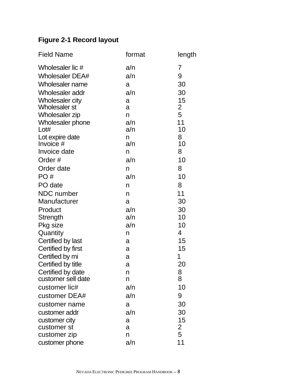## **Figure 2-1 Record layout**

| <b>Field Name</b>      | format | length |
|------------------------|--------|--------|
| Wholesaler lic #       | a/n    | 7      |
| <b>Wholesaler DEA#</b> | a/n    | 9      |
| Wholesaler name        | a      | 30     |
| Wholesaler addr        | a/n    | 30     |
| Wholesaler city        | a      | 15     |
| <b>Wholesaler st</b>   | a      | 2      |
| <b>Wholesaler zip</b>  | n      | 5      |
| Wholesaler phone       | a/n    | 11     |
| Lot#                   | a/n    | 10     |
| Lot expire date        | n      | 8      |
| Invoice #              | a/n    | 10     |
| Invoice date           | n      | 8      |
| Order#                 | a/n    | 10     |
| Order date             | n      | 8      |
| PO#                    | a/n    | 10     |
| PO date                | n      | 8      |
| <b>NDC</b> number      | n      | 11     |
| Manufacturer           | a      | 30     |
| Product                | a/n    | 30     |
| Strength               | a/n    | 10     |
| Pkg size               | a/n    | 10     |
| Quantity               | n      | 4      |
| Certified by last      | a      | 15     |
| Certified by first     | a      | 15     |
| Certified by mi        | a      | 1      |
| Certified by title     | a      | 20     |
| Certified by date      | n      | 8      |
| customer sell date     | n      | 8      |
| customer lic#          | a/n    | 10     |
| customer DEA#          | a/n    | 9      |
| customer name          | a      | 30     |
| customer addr          | a/n    | 30     |
| customer city          | a      | 15     |
| customer st            | a      | 2      |
| customer zip           | n      | 5      |
| customer phone         | a/n    | 11     |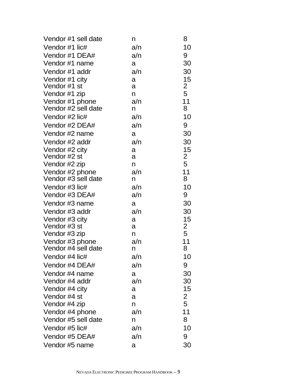| Vendor #1 sell date | n   | 8              |
|---------------------|-----|----------------|
| Vendor #1 lic#      | a/n | 10             |
| Vendor #1 DEA#      | a/n | 9              |
| Vendor #1 name      | a   | 30             |
| Vendor #1 addr      | a/n | 30             |
| Vendor #1 city      | a   | 15             |
| Vendor #1 st        | a   | $\overline{2}$ |
| Vendor #1 zip       | n   | 5              |
| Vendor #1 phone     | a/n | 11             |
| Vendor #2 sell date | n.  | 8              |
| Vendor #2 lic#      | a/n | 10             |
| Vendor #2 DEA#      | a/n | 9              |
| Vendor #2 name      | a   | 30             |
| Vendor #2 addr      | a/n | 30             |
| Vendor #2 city      | a   | 15             |
| Vendor #2 st        | a   | $\overline{2}$ |
| Vendor #2 zip       | n   | 5              |
| Vendor #2 phone     | a/n | 11             |
| Vendor #3 sell date | n   | 8              |
| Vendor #3 lic#      | a/n | 10             |
| Vendor #3 DEA#      | a/n | 9              |
| Vendor #3 name      | a   | 30             |
| Vendor #3 addr      | a/n | 30             |
| Vendor #3 city      | a   | 15             |
| Vendor #3 st        | a   | $\overline{2}$ |
| Vendor #3 zip       | n   | 5              |
| Vendor #3 phone     | a/n | 11             |
| Vendor #4 sell date | n   | 8              |
| Vendor #4 lic#      | a/n | 10             |
| Vendor #4 DEA#      | a/n | 9              |
| Vendor #4 name      | a   | 30             |
| Vendor #4 addr      | a/n | 30             |
| Vendor #4 city      | a   | 15             |
| Vendor #4 st        | a   | $\overline{2}$ |
| Vendor #4 zip       | n   | 5              |
| Vendor #4 phone     | a/n | 11             |
| Vendor #5 sell date | n   | 8              |
| Vendor #5 lic#      | a/n | 10             |
| Vendor #5 DEA#      | a/n | 9              |
| Vendor #5 name      | a   | 30             |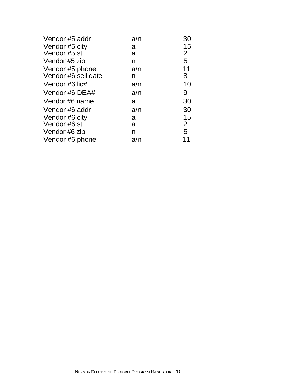| Vendor #5 addr      | a/n | 30             |
|---------------------|-----|----------------|
| Vendor #5 city      | a   | 15             |
| Vendor #5 st        | a   | $\overline{2}$ |
| Vendor #5 zip       | n   | 5              |
| Vendor #5 phone     | a/n | 11             |
| Vendor #6 sell date | n   | 8              |
| Vendor #6 lic#      | a/n | 10             |
| Vendor #6 DEA#      | a/n | 9              |
| Vendor #6 name      | a   | 30             |
| Vendor #6 addr      | a/n | 30             |
| Vendor #6 city      | a   | 15             |
| Vendor #6 st        | a   | $\mathbf{2}$   |
| Vendor #6 zip       | n   | 5              |
| Vendor #6 phone     | a/n |                |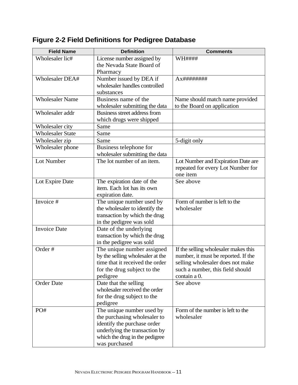| <b>Field Name</b>       | <b>Definition</b>                | <b>Comments</b>                      |
|-------------------------|----------------------------------|--------------------------------------|
| Wholesaler lic#         | License number assigned by       | <b>WH####</b>                        |
|                         | the Nevada State Board of        |                                      |
|                         | Pharmacy                         |                                      |
| Wholesaler DEA#         | Number issued by DEA if          |                                      |
|                         | wholesaler handles controlled    |                                      |
|                         | substances                       |                                      |
| <b>Wholesaler Name</b>  | Business name of the             | Name should match name provided      |
|                         | wholesaler submitting the data   | to the Board on application          |
| Wholesaler addr         | Business street address from     |                                      |
|                         | which drugs were shipped         |                                      |
| Wholesaler city         | Same                             |                                      |
| <b>Wholesaler State</b> | Same                             |                                      |
| Wholesaler zip          | Same                             | 5-digit only                         |
| Wholesaler phone        | Business telephone for           |                                      |
|                         | wholesaler submitting the data   |                                      |
| Lot Number              | The lot number of an item.       | Lot Number and Expiration Date are   |
|                         |                                  | repeated for every Lot Number for    |
|                         |                                  | one item                             |
| Lot Expire Date         | The expiration date of the       | See above                            |
|                         | item. Each lot has its own       |                                      |
|                         | expiration date.                 |                                      |
| Invoice #               | The unique number used by        | Form of number is left to the        |
|                         | the wholesaler to identify the   | wholesaler                           |
|                         | transaction by which the drug    |                                      |
|                         | in the pedigree was sold         |                                      |
| <b>Invoice Date</b>     | Date of the underlying           |                                      |
|                         | transaction by which the drug    |                                      |
|                         | in the pedigree was sold         |                                      |
| Order#                  | The unique number assigned       | If the selling wholesaler makes this |
|                         | by the selling wholesaler at the | number, it must be reported. If the  |
|                         | time that it received the order  | selling wholesaler does not make     |
|                         | for the drug subject to the      | such a number, this field should     |
|                         | pedigree                         | contain a 0.                         |
| <b>Order Date</b>       | Date that the selling            | See above                            |
|                         | wholesaler received the order    |                                      |
|                         | for the drug subject to the      |                                      |
|                         | pedigree                         |                                      |
| PO#                     | The unique number used by        | Form of the number is left to the    |
|                         | the purchasing wholesaler to     | wholesaler                           |
|                         | identify the purchase order      |                                      |
|                         | underlying the transaction by    |                                      |
|                         | which the drug in the pedigree   |                                      |
|                         | was purchased                    |                                      |

**Figure 2-2 Field Definitions for Pedigree Database**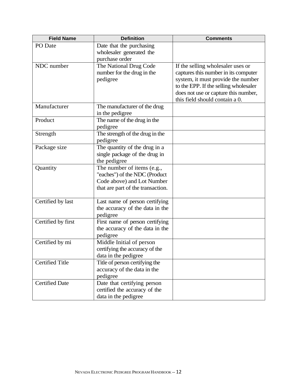| <b>Field Name</b>      | <b>Definition</b>                 | <b>Comments</b>                                                             |
|------------------------|-----------------------------------|-----------------------------------------------------------------------------|
| PO Date                | Date that the purchasing          |                                                                             |
|                        | wholesaler generated the          |                                                                             |
|                        | purchase order                    |                                                                             |
| NDC number             | The National Drug Code            | If the selling wholesaler uses or                                           |
|                        | number for the drug in the        | captures this number in its computer                                        |
|                        | pedigree                          | system, it must provide the number<br>to the EPP. If the selling wholesaler |
|                        |                                   | does not use or capture this number,                                        |
|                        |                                   | this field should contain a 0.                                              |
| Manufacturer           | The manufacturer of the drug      |                                                                             |
|                        | in the pedigree                   |                                                                             |
| Product                | The name of the drug in the       |                                                                             |
|                        | pedigree                          |                                                                             |
| Strength               | The strength of the drug in the   |                                                                             |
|                        | pedigree                          |                                                                             |
| Package size           | The quantity of the drug in a     |                                                                             |
|                        | single package of the drug in     |                                                                             |
|                        | the pedigree                      |                                                                             |
| Quantity               | The number of items (e.g.,        |                                                                             |
|                        | "eaches") of the NDC (Product     |                                                                             |
|                        | Code above) and Lot Number        |                                                                             |
|                        | that are part of the transaction. |                                                                             |
| Certified by last      | Last name of person certifying    |                                                                             |
|                        | the accuracy of the data in the   |                                                                             |
|                        | pedigree                          |                                                                             |
| Certified by first     | First name of person certifying   |                                                                             |
|                        | the accuracy of the data in the   |                                                                             |
|                        | pedigree                          |                                                                             |
| Certified by mi        | Middle Initial of person          |                                                                             |
|                        | certifying the accuracy of the    |                                                                             |
|                        | data in the pedigree              |                                                                             |
| <b>Certified Title</b> | Title of person certifying the    |                                                                             |
|                        | accuracy of the data in the       |                                                                             |
|                        | pedigree                          |                                                                             |
| <b>Certified Date</b>  | Date that certifying person       |                                                                             |
|                        | certified the accuracy of the     |                                                                             |
|                        | data in the pedigree              |                                                                             |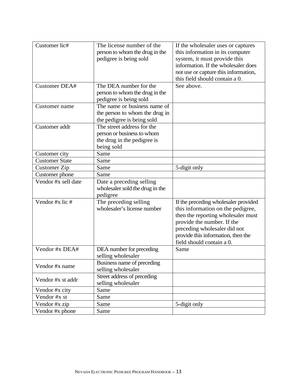| Customer lic#         | The license number of the                   | If the wholesaler uses or captures                                 |
|-----------------------|---------------------------------------------|--------------------------------------------------------------------|
|                       | person to whom the drug in the              | this information in its computer                                   |
|                       | pedigree is being sold                      | system, it must provide this                                       |
|                       |                                             | information. If the wholesaler does                                |
|                       |                                             | not use or capture this information,                               |
|                       |                                             | this field should contain a 0.                                     |
| <b>Customer DEA#</b>  | The DEA number for the                      | See above.                                                         |
|                       | person to whom the drug in the              |                                                                    |
|                       | pedigree is being sold                      |                                                                    |
| Customer name         | The name or business name of                |                                                                    |
|                       | the person to whom the drug in              |                                                                    |
|                       | the pedigree is being sold                  |                                                                    |
| Customer addr         | The street address for the                  |                                                                    |
|                       | person or business to whom                  |                                                                    |
|                       | the drug in the pedigree is                 |                                                                    |
|                       | being sold                                  |                                                                    |
| Customer city         | Same                                        |                                                                    |
| <b>Customer State</b> | Same                                        |                                                                    |
| Customer Zip          | Same                                        | 5-digit only                                                       |
| Customer phone        | Same                                        |                                                                    |
| Vendor #x sell date   | Date a preceding selling                    |                                                                    |
|                       |                                             |                                                                    |
|                       | wholesaler sold the drug in the<br>pedigree |                                                                    |
| Vendor #x lic #       | The preceding selling                       | If the preceding wholesaler provided                               |
|                       | wholesaler's license number                 | this information on the pedigree,                                  |
|                       |                                             |                                                                    |
|                       |                                             | then the reporting wholesaler must                                 |
|                       |                                             | provide the number. If the                                         |
|                       |                                             | preceding wholesaler did not<br>provide this information, then the |
|                       |                                             | field should contain a 0.                                          |
| Vendor #x DEA#        |                                             | Same                                                               |
|                       | DEA number for preceding                    |                                                                    |
|                       | selling wholesaler                          |                                                                    |
| Vendor #x name        | Business name of preceding                  |                                                                    |
|                       | selling wholesaler                          |                                                                    |
| Vendor #x st addr     | Street address of preceding                 |                                                                    |
|                       | selling wholesaler                          |                                                                    |
| Vendor #x city        | Same                                        |                                                                    |
| Vendor #x st          | Same                                        |                                                                    |
| Vendor #x zip         | Same                                        | 5-digit only                                                       |
| Vendor #x phone       | Same                                        |                                                                    |